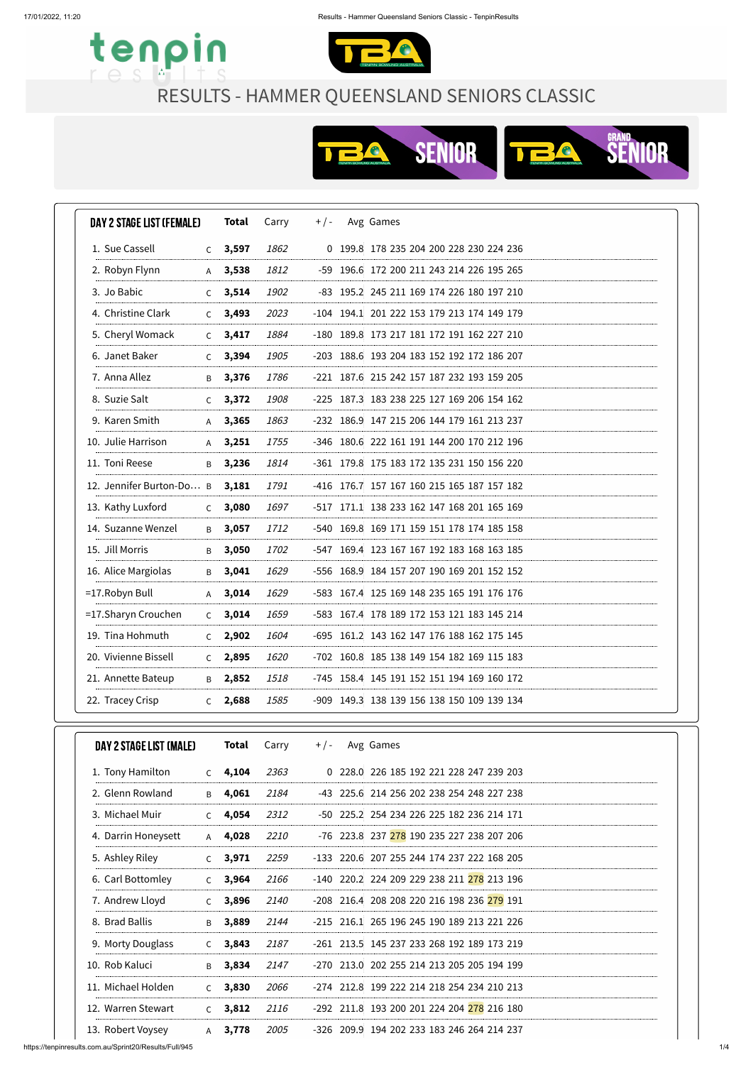



| DAY 2 STAGE LIST (FEMALE) |              | Total     | Carry | $+$ / - | Avg Games                                  |
|---------------------------|--------------|-----------|-------|---------|--------------------------------------------|
| 1. Sue Cassell            |              | $C$ 3,597 | 1862  |         | 0 199.8 178 235 204 200 228 230 224 236    |
| 2. Robyn Flynn            | A            | 3,538     | 1812  |         | -59 196.6 172 200 211 243 214 226 195 265  |
| 3. Jo Babic               | $\mathsf{C}$ | 3,514     | 1902  |         | -83 195.2 245 211 169 174 226 180 197 210  |
| 4. Christine Clark        | $\mathsf{C}$ | 3,493     | 2023  |         | -104 194.1 201 222 153 179 213 174 149 179 |
| 5. Cheryl Womack          | $\mathsf{C}$ | 3,417     | 1884  |         | -180 189.8 173 217 181 172 191 162 227 210 |
| 6. Janet Baker            | $\mathsf{C}$ | 3,394     | 1905  |         | -203 188.6 193 204 183 152 192 172 186 207 |
| 7. Anna Allez             | B            | 3,376     | 1786  |         | -221 187.6 215 242 157 187 232 193 159 205 |
| 8. Suzie Salt             | $\mathsf{C}$ | 3,372     | 1908  |         | -225 187.3 183 238 225 127 169 206 154 162 |
| 9. Karen Smith            | $\mathsf{A}$ | 3,365     | 1863  |         | -232 186.9 147 215 206 144 179 161 213 237 |
| 10. Julie Harrison        | $\mathsf{A}$ | 3,251     | 1755  |         | -346 180.6 222 161 191 144 200 170 212 196 |
| 11. Toni Reese            | $\mathsf{B}$ | 3,236     | 1814  |         | -361 179.8 175 183 172 135 231 150 156 220 |
| 12. Jennifer Burton-Do B  |              | 3,181     | 1791  |         | -416 176.7 157 167 160 215 165 187 157 182 |
| 13. Kathy Luxford         | $\mathsf{C}$ | 3,080     | 1697  |         | -517 171.1 138 233 162 147 168 201 165 169 |
| 14. Suzanne Wenzel        | B            | 3,057     | 1712  |         | -540 169.8 169 171 159 151 178 174 185 158 |
| 15. Jill Morris           | B            | 3,050     | 1702  |         | -547 169.4 123 167 167 192 183 168 163 185 |
| 16. Alice Margiolas       | B            | 3,041     | 1629  |         | -556 168.9 184 157 207 190 169 201 152 152 |
| $=17$ . Robyn Bull        |              | $A$ 3,014 | 1629  |         | -583 167.4 125 169 148 235 165 191 176 176 |
| =17. Sharyn Crouchen      | $\mathsf{C}$ | 3,014     | 1659  |         | -583 167.4 178 189 172 153 121 183 145 214 |
| 19. Tina Hohmuth          | C            | 2,902     | 1604  |         | -695 161.2 143 162 147 176 188 162 175 145 |
| 20. Vivienne Bissell      | C            | 2,895     | 1620  |         | -702 160.8 185 138 149 154 182 169 115 183 |
| 21. Annette Bateup        | B            | 2,852     | 1518  |         | -745 158.4 145 191 152 151 194 169 160 172 |
| 22. Tracey Crisp          | C            | 2,688     | 1585  |         | -909 149.3 138 139 156 138 150 109 139 134 |

| DAY 2 STAGE LIST (MALE) |              | Total | Carry | $+$ / - | Avg Games                                  |
|-------------------------|--------------|-------|-------|---------|--------------------------------------------|
| 1. Tony Hamilton        | $\mathsf{C}$ | 4,104 | 2363  |         | 0 228.0 226 185 192 221 228 247 239 203    |
| 2. Glenn Rowland        | B            | 4,061 | 2184  |         | -43 225.6 214 256 202 238 254 248 227 238  |
| 3. Michael Muir         | $\mathsf{C}$ | 4,054 | 2312  |         | -50 225.2 254 234 226 225 182 236 214 171  |
| 4. Darrin Honeysett     | $\mathsf{A}$ | 4,028 | 2210  |         | -76 223.8 237 278 190 235 227 238 207 206  |
| 5. Ashley Riley         | $\mathsf{C}$ | 3,971 | 2259  |         | -133 220.6 207 255 244 174 237 222 168 205 |
| 6. Carl Bottomley       | $\mathsf{C}$ | 3,964 | 2166  |         | -140 220.2 224 209 229 238 211 278 213 196 |
| 7. Andrew Lloyd         | C            | 3,896 | 2140  |         | -208 216.4 208 208 220 216 198 236 279 191 |
| 8. Brad Ballis          | B            | 3,889 | 2144  |         | -215 216.1 265 196 245 190 189 213 221 226 |
| 9. Morty Douglass       | $\mathsf{C}$ | 3,843 | 2187  |         | -261 213.5 145 237 233 268 192 189 173 219 |
| 10. Rob Kaluci          | B            | 3,834 | 2147  | $-270$  | 213.0 202 255 214 213 205 205 194 199      |
| 11. Michael Holden      | $\mathsf{C}$ | 3,830 | 2066  |         | -274 212.8 199 222 214 218 254 234 210 213 |
| 12. Warren Stewart      | $\mathsf{C}$ | 3,812 | 2116  |         | -292 211.8 193 200 201 224 204 278 216 180 |
| 13. Robert Voysey       | $\mathsf{A}$ | 3,778 | 2005  |         | -326 209.9 194 202 233 183 246 264 214 237 |

RESULTS - HAMMER QUEENSLAND SENIORS CLASSIC

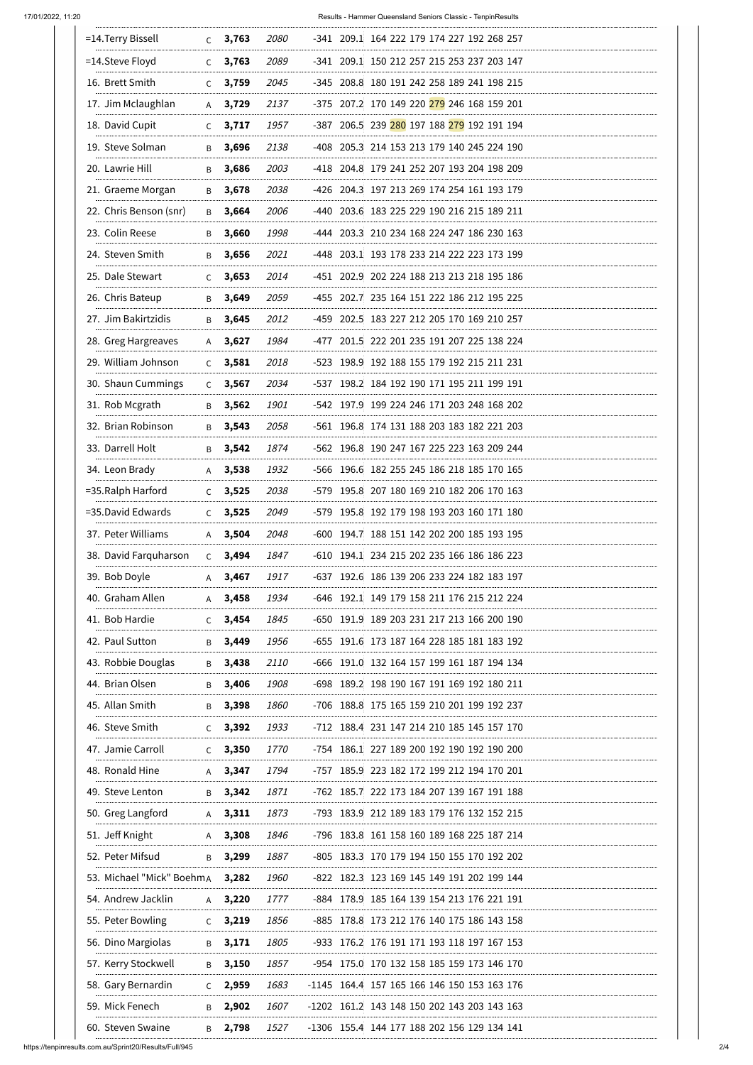17/01/2022, 11:20 Results - Hammer Queensland Seniors Classic - TenpinResults

https://tenpinresults.com.au/Sprint20/Results/Full/945 2/4

| 3,763<br>2080<br>-341 209.1 164 222 179 174 227 192 268 257<br>$\mathsf{C}$<br>3,763<br>2089<br>-341 209.1 150 212 257 215 253 237 203 147<br>C<br>16. Brett Smith<br>3,759<br>2045<br>-345 208.8 180 191 242 258 189 241 198 215<br>C<br>17. Jim Mclaughlan<br>3,729<br>2137<br>-375 207.2 170 149 220 <mark>279</mark> 246 168 159 201<br>A<br>18. David Cupit<br>1957<br>-387 206.5 239 <mark>280</mark> 197 188 <mark>279</mark> 192 191 194<br>3,717<br>C<br>19. Steve Solman<br>3,696<br>2138<br>-408 205.3 214 153 213 179 140 245 224 190<br>B<br>20. Lawrie Hill<br>3,686<br>2003<br>-418 204.8 179 241 252 207 193 204 198 209<br>В<br>21. Graeme Morgan<br>2038<br>-426 204.3 197 213 269 174 254 161 193 179<br>3,678<br>B<br>22. Chris Benson (snr)<br>3,664<br>2006<br>-440 203.6 183 225 229 190 216 215 189 211<br>B<br>23. Colin Reese<br>3,660<br>1998<br>-444 203.3 210 234 168 224 247 186 230 163<br>B<br>24. Steven Smith<br>3,656<br>2021<br>-448 203.1 193 178 233 214 222 223 173 199<br>В<br>25. Dale Stewart<br>3,653<br>2014<br>-451 202.9 202 224 188 213 213 218 195 186<br>C<br>26. Chris Bateup<br>2059<br>-455 202.7 235 164 151 222 186 212 195 225<br>3,649<br>B<br>27. Jim Bakirtzidis<br>3,645<br>2012<br>-459 202.5 183 227 212 205 170 169 210 257<br>В<br>28. Greg Hargreaves<br>1984<br>-477 201.5 222 201 235 191 207 225 138 224<br>3,627<br>A<br>29. William Johnson<br>-523 198.9 192 188 155 179 192 215 211 231<br>3,581<br>2018<br>$\mathsf{C}$<br>30. Shaun Cummings<br>3,567<br>2034<br>-537 198.2 184 192 190 171 195 211 199 191<br>$\mathsf{C}$<br>31. Rob Mcgrath<br>3,562<br>1901<br>-542 197.9 199 224 246 171 203 248 168 202<br>Β<br>32. Brian Robinson<br>3,543<br>2058<br>-561 196.8 174 131 188 203 183 182 221 203<br>B<br>33. Darrell Holt<br>-562 196.8 190 247 167 225 223 163 209 244<br>3,542<br>1874<br>B<br>34. Leon Brady<br>1932<br>-566 196.6 182 255 245 186 218 185 170 165<br>3,538<br>A<br>=35. Ralph Harford<br>3,525<br>2038<br>-579 195.8 207 180 169 210 182 206 170 163<br>$\mathsf{C}$<br>=35.David Edwards<br>-579 195.8 192 179 198 193 203 160 171 180<br>3,525<br>2049<br>$\mathsf{C}$<br>37. Peter Williams<br>3,504<br>2048<br>-600 194.7 188 151 142 202 200 185 193 195<br>A<br>38. David Farquharson<br>-610 194.1 234 215 202 235 166 186 186 223<br>3,494<br>1847<br>$\mathsf{C}$<br>39. Bob Doyle<br>-637 192.6 186 139 206 233 224 182 183 197<br>3,467<br>1917<br>A<br>40. Graham Allen<br>1934<br>-646 192.1 149 179 158 211 176 215 212 224<br>3,458<br>A<br>41. Bob Hardie<br>3,454<br>1845<br>-650 191.9 189 203 231 217 213 166 200 190<br>C.<br>42. Paul Sutton<br>3,449<br>1956<br>-655 191.6 173 187 164 228 185 181 183 192<br>B<br>43. Robbie Douglas<br>3,438<br>2110<br>-666 191.0 132 164 157 199 161 187 194 134<br>B<br>44. Brian Olsen<br>3,406<br>1908<br>-698 189.2 198 190 167 191 169 192 180 211<br>B<br>45. Allan Smith<br>3,398<br>1860<br>-706 188.8 175 165 159 210 201 199 192 237<br>B<br>46. Steve Smith<br>3,392<br>1933<br>-712 188.4 231 147 214 210 185 145 157 170<br>C<br>47. Jamie Carroll<br>3,350<br>-754 186.1 227 189 200 192 190 192 190 200<br><i>1770</i><br>C<br>48. Ronald Hine<br>-757 185.9 223 182 172 199 212 194 170 201<br>3,347<br>1794<br>A<br>49. Steve Lenton<br>1871<br>-762 185.7 222 173 184 207 139 167 191 188<br>3,342<br>B<br>-793 183.9 212 189 183 179 176 132 152 215<br>50. Greg Langford<br>$A$ 3,311<br>1873<br>51. Jeff Knight<br>-796 183.8 161 158 160 189 168 225 187 214<br>3,308<br>1846<br>A<br>52. Peter Mifsud<br>3,299<br>1887<br>-805 183.3 170 179 194 150 155 170 192 202<br>B<br>53. Michael "Mick" BoehmA<br>3,282<br>1960<br>-822 182.3 123 169 145 149 191 202 199 144<br>54. Andrew Jacklin<br>-884 178.9 185 164 139 154 213 176 221 191<br>3,220<br>1777<br>A<br>55. Peter Bowling<br>3,219<br>1856<br>-885 178.8 173 212 176 140 175 186 143 158<br>C<br>56. Dino Margiolas<br>3,171<br>1805<br>-933 176.2 176 191 171 193 118 197 167 153<br>B<br>57. Kerry Stockwell<br>3,150<br>-954 175.0 170 132 158 185 159 173 146 170<br>1857<br>B<br>58. Gary Bernardin<br>2,959<br>1683<br>-1145 164.4 157 165 166 146 150 153 163 176<br>C<br>59. Mick Fenech<br>2,902<br>1607<br>-1202 161.2 143 148 150 202 143 203 143 163<br>B<br>60. Steven Swaine<br>2,798<br>1527<br>-1306 155.4 144 177 188 202 156 129 134 141<br>Β |                    |  |  |  |  |  |  |
|-----------------------------------------------------------------------------------------------------------------------------------------------------------------------------------------------------------------------------------------------------------------------------------------------------------------------------------------------------------------------------------------------------------------------------------------------------------------------------------------------------------------------------------------------------------------------------------------------------------------------------------------------------------------------------------------------------------------------------------------------------------------------------------------------------------------------------------------------------------------------------------------------------------------------------------------------------------------------------------------------------------------------------------------------------------------------------------------------------------------------------------------------------------------------------------------------------------------------------------------------------------------------------------------------------------------------------------------------------------------------------------------------------------------------------------------------------------------------------------------------------------------------------------------------------------------------------------------------------------------------------------------------------------------------------------------------------------------------------------------------------------------------------------------------------------------------------------------------------------------------------------------------------------------------------------------------------------------------------------------------------------------------------------------------------------------------------------------------------------------------------------------------------------------------------------------------------------------------------------------------------------------------------------------------------------------------------------------------------------------------------------------------------------------------------------------------------------------------------------------------------------------------------------------------------------------------------------------------------------------------------------------------------------------------------------------------------------------------------------------------------------------------------------------------------------------------------------------------------------------------------------------------------------------------------------------------------------------------------------------------------------------------------------------------------------------------------------------------------------------------------------------------------------------------------------------------------------------------------------------------------------------------------------------------------------------------------------------------------------------------------------------------------------------------------------------------------------------------------------------------------------------------------------------------------------------------------------------------------------------------------------------------------------------------------------------------------------------------------------------------------------------------------------------------------------------------------------------------------------------------------------------------------------------------------------------------------------------------------------------------------------------------------------------------------------------------------------------------------------------------------------------------------------------------------------------------------------------------------------------------------------------------------------------------------------------------------------------------------------------------------------------------------------------|--------------------|--|--|--|--|--|--|
|                                                                                                                                                                                                                                                                                                                                                                                                                                                                                                                                                                                                                                                                                                                                                                                                                                                                                                                                                                                                                                                                                                                                                                                                                                                                                                                                                                                                                                                                                                                                                                                                                                                                                                                                                                                                                                                                                                                                                                                                                                                                                                                                                                                                                                                                                                                                                                                                                                                                                                                                                                                                                                                                                                                                                                                                                                                                                                                                                                                                                                                                                                                                                                                                                                                                                                                                                                                                                                                                                                                                                                                                                                                                                                                                                                                                                                                                                                                                                                                                                                                                                                                                                                                                                                                                                                                                                                                                                 | =14. Terry Bissell |  |  |  |  |  |  |
|                                                                                                                                                                                                                                                                                                                                                                                                                                                                                                                                                                                                                                                                                                                                                                                                                                                                                                                                                                                                                                                                                                                                                                                                                                                                                                                                                                                                                                                                                                                                                                                                                                                                                                                                                                                                                                                                                                                                                                                                                                                                                                                                                                                                                                                                                                                                                                                                                                                                                                                                                                                                                                                                                                                                                                                                                                                                                                                                                                                                                                                                                                                                                                                                                                                                                                                                                                                                                                                                                                                                                                                                                                                                                                                                                                                                                                                                                                                                                                                                                                                                                                                                                                                                                                                                                                                                                                                                                 | =14. Steve Floyd   |  |  |  |  |  |  |
|                                                                                                                                                                                                                                                                                                                                                                                                                                                                                                                                                                                                                                                                                                                                                                                                                                                                                                                                                                                                                                                                                                                                                                                                                                                                                                                                                                                                                                                                                                                                                                                                                                                                                                                                                                                                                                                                                                                                                                                                                                                                                                                                                                                                                                                                                                                                                                                                                                                                                                                                                                                                                                                                                                                                                                                                                                                                                                                                                                                                                                                                                                                                                                                                                                                                                                                                                                                                                                                                                                                                                                                                                                                                                                                                                                                                                                                                                                                                                                                                                                                                                                                                                                                                                                                                                                                                                                                                                 |                    |  |  |  |  |  |  |
|                                                                                                                                                                                                                                                                                                                                                                                                                                                                                                                                                                                                                                                                                                                                                                                                                                                                                                                                                                                                                                                                                                                                                                                                                                                                                                                                                                                                                                                                                                                                                                                                                                                                                                                                                                                                                                                                                                                                                                                                                                                                                                                                                                                                                                                                                                                                                                                                                                                                                                                                                                                                                                                                                                                                                                                                                                                                                                                                                                                                                                                                                                                                                                                                                                                                                                                                                                                                                                                                                                                                                                                                                                                                                                                                                                                                                                                                                                                                                                                                                                                                                                                                                                                                                                                                                                                                                                                                                 |                    |  |  |  |  |  |  |
|                                                                                                                                                                                                                                                                                                                                                                                                                                                                                                                                                                                                                                                                                                                                                                                                                                                                                                                                                                                                                                                                                                                                                                                                                                                                                                                                                                                                                                                                                                                                                                                                                                                                                                                                                                                                                                                                                                                                                                                                                                                                                                                                                                                                                                                                                                                                                                                                                                                                                                                                                                                                                                                                                                                                                                                                                                                                                                                                                                                                                                                                                                                                                                                                                                                                                                                                                                                                                                                                                                                                                                                                                                                                                                                                                                                                                                                                                                                                                                                                                                                                                                                                                                                                                                                                                                                                                                                                                 |                    |  |  |  |  |  |  |
|                                                                                                                                                                                                                                                                                                                                                                                                                                                                                                                                                                                                                                                                                                                                                                                                                                                                                                                                                                                                                                                                                                                                                                                                                                                                                                                                                                                                                                                                                                                                                                                                                                                                                                                                                                                                                                                                                                                                                                                                                                                                                                                                                                                                                                                                                                                                                                                                                                                                                                                                                                                                                                                                                                                                                                                                                                                                                                                                                                                                                                                                                                                                                                                                                                                                                                                                                                                                                                                                                                                                                                                                                                                                                                                                                                                                                                                                                                                                                                                                                                                                                                                                                                                                                                                                                                                                                                                                                 |                    |  |  |  |  |  |  |
|                                                                                                                                                                                                                                                                                                                                                                                                                                                                                                                                                                                                                                                                                                                                                                                                                                                                                                                                                                                                                                                                                                                                                                                                                                                                                                                                                                                                                                                                                                                                                                                                                                                                                                                                                                                                                                                                                                                                                                                                                                                                                                                                                                                                                                                                                                                                                                                                                                                                                                                                                                                                                                                                                                                                                                                                                                                                                                                                                                                                                                                                                                                                                                                                                                                                                                                                                                                                                                                                                                                                                                                                                                                                                                                                                                                                                                                                                                                                                                                                                                                                                                                                                                                                                                                                                                                                                                                                                 |                    |  |  |  |  |  |  |
|                                                                                                                                                                                                                                                                                                                                                                                                                                                                                                                                                                                                                                                                                                                                                                                                                                                                                                                                                                                                                                                                                                                                                                                                                                                                                                                                                                                                                                                                                                                                                                                                                                                                                                                                                                                                                                                                                                                                                                                                                                                                                                                                                                                                                                                                                                                                                                                                                                                                                                                                                                                                                                                                                                                                                                                                                                                                                                                                                                                                                                                                                                                                                                                                                                                                                                                                                                                                                                                                                                                                                                                                                                                                                                                                                                                                                                                                                                                                                                                                                                                                                                                                                                                                                                                                                                                                                                                                                 |                    |  |  |  |  |  |  |
|                                                                                                                                                                                                                                                                                                                                                                                                                                                                                                                                                                                                                                                                                                                                                                                                                                                                                                                                                                                                                                                                                                                                                                                                                                                                                                                                                                                                                                                                                                                                                                                                                                                                                                                                                                                                                                                                                                                                                                                                                                                                                                                                                                                                                                                                                                                                                                                                                                                                                                                                                                                                                                                                                                                                                                                                                                                                                                                                                                                                                                                                                                                                                                                                                                                                                                                                                                                                                                                                                                                                                                                                                                                                                                                                                                                                                                                                                                                                                                                                                                                                                                                                                                                                                                                                                                                                                                                                                 |                    |  |  |  |  |  |  |
|                                                                                                                                                                                                                                                                                                                                                                                                                                                                                                                                                                                                                                                                                                                                                                                                                                                                                                                                                                                                                                                                                                                                                                                                                                                                                                                                                                                                                                                                                                                                                                                                                                                                                                                                                                                                                                                                                                                                                                                                                                                                                                                                                                                                                                                                                                                                                                                                                                                                                                                                                                                                                                                                                                                                                                                                                                                                                                                                                                                                                                                                                                                                                                                                                                                                                                                                                                                                                                                                                                                                                                                                                                                                                                                                                                                                                                                                                                                                                                                                                                                                                                                                                                                                                                                                                                                                                                                                                 |                    |  |  |  |  |  |  |
|                                                                                                                                                                                                                                                                                                                                                                                                                                                                                                                                                                                                                                                                                                                                                                                                                                                                                                                                                                                                                                                                                                                                                                                                                                                                                                                                                                                                                                                                                                                                                                                                                                                                                                                                                                                                                                                                                                                                                                                                                                                                                                                                                                                                                                                                                                                                                                                                                                                                                                                                                                                                                                                                                                                                                                                                                                                                                                                                                                                                                                                                                                                                                                                                                                                                                                                                                                                                                                                                                                                                                                                                                                                                                                                                                                                                                                                                                                                                                                                                                                                                                                                                                                                                                                                                                                                                                                                                                 |                    |  |  |  |  |  |  |
|                                                                                                                                                                                                                                                                                                                                                                                                                                                                                                                                                                                                                                                                                                                                                                                                                                                                                                                                                                                                                                                                                                                                                                                                                                                                                                                                                                                                                                                                                                                                                                                                                                                                                                                                                                                                                                                                                                                                                                                                                                                                                                                                                                                                                                                                                                                                                                                                                                                                                                                                                                                                                                                                                                                                                                                                                                                                                                                                                                                                                                                                                                                                                                                                                                                                                                                                                                                                                                                                                                                                                                                                                                                                                                                                                                                                                                                                                                                                                                                                                                                                                                                                                                                                                                                                                                                                                                                                                 |                    |  |  |  |  |  |  |
|                                                                                                                                                                                                                                                                                                                                                                                                                                                                                                                                                                                                                                                                                                                                                                                                                                                                                                                                                                                                                                                                                                                                                                                                                                                                                                                                                                                                                                                                                                                                                                                                                                                                                                                                                                                                                                                                                                                                                                                                                                                                                                                                                                                                                                                                                                                                                                                                                                                                                                                                                                                                                                                                                                                                                                                                                                                                                                                                                                                                                                                                                                                                                                                                                                                                                                                                                                                                                                                                                                                                                                                                                                                                                                                                                                                                                                                                                                                                                                                                                                                                                                                                                                                                                                                                                                                                                                                                                 |                    |  |  |  |  |  |  |
|                                                                                                                                                                                                                                                                                                                                                                                                                                                                                                                                                                                                                                                                                                                                                                                                                                                                                                                                                                                                                                                                                                                                                                                                                                                                                                                                                                                                                                                                                                                                                                                                                                                                                                                                                                                                                                                                                                                                                                                                                                                                                                                                                                                                                                                                                                                                                                                                                                                                                                                                                                                                                                                                                                                                                                                                                                                                                                                                                                                                                                                                                                                                                                                                                                                                                                                                                                                                                                                                                                                                                                                                                                                                                                                                                                                                                                                                                                                                                                                                                                                                                                                                                                                                                                                                                                                                                                                                                 |                    |  |  |  |  |  |  |
|                                                                                                                                                                                                                                                                                                                                                                                                                                                                                                                                                                                                                                                                                                                                                                                                                                                                                                                                                                                                                                                                                                                                                                                                                                                                                                                                                                                                                                                                                                                                                                                                                                                                                                                                                                                                                                                                                                                                                                                                                                                                                                                                                                                                                                                                                                                                                                                                                                                                                                                                                                                                                                                                                                                                                                                                                                                                                                                                                                                                                                                                                                                                                                                                                                                                                                                                                                                                                                                                                                                                                                                                                                                                                                                                                                                                                                                                                                                                                                                                                                                                                                                                                                                                                                                                                                                                                                                                                 |                    |  |  |  |  |  |  |
|                                                                                                                                                                                                                                                                                                                                                                                                                                                                                                                                                                                                                                                                                                                                                                                                                                                                                                                                                                                                                                                                                                                                                                                                                                                                                                                                                                                                                                                                                                                                                                                                                                                                                                                                                                                                                                                                                                                                                                                                                                                                                                                                                                                                                                                                                                                                                                                                                                                                                                                                                                                                                                                                                                                                                                                                                                                                                                                                                                                                                                                                                                                                                                                                                                                                                                                                                                                                                                                                                                                                                                                                                                                                                                                                                                                                                                                                                                                                                                                                                                                                                                                                                                                                                                                                                                                                                                                                                 |                    |  |  |  |  |  |  |
|                                                                                                                                                                                                                                                                                                                                                                                                                                                                                                                                                                                                                                                                                                                                                                                                                                                                                                                                                                                                                                                                                                                                                                                                                                                                                                                                                                                                                                                                                                                                                                                                                                                                                                                                                                                                                                                                                                                                                                                                                                                                                                                                                                                                                                                                                                                                                                                                                                                                                                                                                                                                                                                                                                                                                                                                                                                                                                                                                                                                                                                                                                                                                                                                                                                                                                                                                                                                                                                                                                                                                                                                                                                                                                                                                                                                                                                                                                                                                                                                                                                                                                                                                                                                                                                                                                                                                                                                                 |                    |  |  |  |  |  |  |
|                                                                                                                                                                                                                                                                                                                                                                                                                                                                                                                                                                                                                                                                                                                                                                                                                                                                                                                                                                                                                                                                                                                                                                                                                                                                                                                                                                                                                                                                                                                                                                                                                                                                                                                                                                                                                                                                                                                                                                                                                                                                                                                                                                                                                                                                                                                                                                                                                                                                                                                                                                                                                                                                                                                                                                                                                                                                                                                                                                                                                                                                                                                                                                                                                                                                                                                                                                                                                                                                                                                                                                                                                                                                                                                                                                                                                                                                                                                                                                                                                                                                                                                                                                                                                                                                                                                                                                                                                 |                    |  |  |  |  |  |  |
|                                                                                                                                                                                                                                                                                                                                                                                                                                                                                                                                                                                                                                                                                                                                                                                                                                                                                                                                                                                                                                                                                                                                                                                                                                                                                                                                                                                                                                                                                                                                                                                                                                                                                                                                                                                                                                                                                                                                                                                                                                                                                                                                                                                                                                                                                                                                                                                                                                                                                                                                                                                                                                                                                                                                                                                                                                                                                                                                                                                                                                                                                                                                                                                                                                                                                                                                                                                                                                                                                                                                                                                                                                                                                                                                                                                                                                                                                                                                                                                                                                                                                                                                                                                                                                                                                                                                                                                                                 |                    |  |  |  |  |  |  |
|                                                                                                                                                                                                                                                                                                                                                                                                                                                                                                                                                                                                                                                                                                                                                                                                                                                                                                                                                                                                                                                                                                                                                                                                                                                                                                                                                                                                                                                                                                                                                                                                                                                                                                                                                                                                                                                                                                                                                                                                                                                                                                                                                                                                                                                                                                                                                                                                                                                                                                                                                                                                                                                                                                                                                                                                                                                                                                                                                                                                                                                                                                                                                                                                                                                                                                                                                                                                                                                                                                                                                                                                                                                                                                                                                                                                                                                                                                                                                                                                                                                                                                                                                                                                                                                                                                                                                                                                                 |                    |  |  |  |  |  |  |
|                                                                                                                                                                                                                                                                                                                                                                                                                                                                                                                                                                                                                                                                                                                                                                                                                                                                                                                                                                                                                                                                                                                                                                                                                                                                                                                                                                                                                                                                                                                                                                                                                                                                                                                                                                                                                                                                                                                                                                                                                                                                                                                                                                                                                                                                                                                                                                                                                                                                                                                                                                                                                                                                                                                                                                                                                                                                                                                                                                                                                                                                                                                                                                                                                                                                                                                                                                                                                                                                                                                                                                                                                                                                                                                                                                                                                                                                                                                                                                                                                                                                                                                                                                                                                                                                                                                                                                                                                 |                    |  |  |  |  |  |  |
|                                                                                                                                                                                                                                                                                                                                                                                                                                                                                                                                                                                                                                                                                                                                                                                                                                                                                                                                                                                                                                                                                                                                                                                                                                                                                                                                                                                                                                                                                                                                                                                                                                                                                                                                                                                                                                                                                                                                                                                                                                                                                                                                                                                                                                                                                                                                                                                                                                                                                                                                                                                                                                                                                                                                                                                                                                                                                                                                                                                                                                                                                                                                                                                                                                                                                                                                                                                                                                                                                                                                                                                                                                                                                                                                                                                                                                                                                                                                                                                                                                                                                                                                                                                                                                                                                                                                                                                                                 |                    |  |  |  |  |  |  |
|                                                                                                                                                                                                                                                                                                                                                                                                                                                                                                                                                                                                                                                                                                                                                                                                                                                                                                                                                                                                                                                                                                                                                                                                                                                                                                                                                                                                                                                                                                                                                                                                                                                                                                                                                                                                                                                                                                                                                                                                                                                                                                                                                                                                                                                                                                                                                                                                                                                                                                                                                                                                                                                                                                                                                                                                                                                                                                                                                                                                                                                                                                                                                                                                                                                                                                                                                                                                                                                                                                                                                                                                                                                                                                                                                                                                                                                                                                                                                                                                                                                                                                                                                                                                                                                                                                                                                                                                                 |                    |  |  |  |  |  |  |
|                                                                                                                                                                                                                                                                                                                                                                                                                                                                                                                                                                                                                                                                                                                                                                                                                                                                                                                                                                                                                                                                                                                                                                                                                                                                                                                                                                                                                                                                                                                                                                                                                                                                                                                                                                                                                                                                                                                                                                                                                                                                                                                                                                                                                                                                                                                                                                                                                                                                                                                                                                                                                                                                                                                                                                                                                                                                                                                                                                                                                                                                                                                                                                                                                                                                                                                                                                                                                                                                                                                                                                                                                                                                                                                                                                                                                                                                                                                                                                                                                                                                                                                                                                                                                                                                                                                                                                                                                 |                    |  |  |  |  |  |  |
|                                                                                                                                                                                                                                                                                                                                                                                                                                                                                                                                                                                                                                                                                                                                                                                                                                                                                                                                                                                                                                                                                                                                                                                                                                                                                                                                                                                                                                                                                                                                                                                                                                                                                                                                                                                                                                                                                                                                                                                                                                                                                                                                                                                                                                                                                                                                                                                                                                                                                                                                                                                                                                                                                                                                                                                                                                                                                                                                                                                                                                                                                                                                                                                                                                                                                                                                                                                                                                                                                                                                                                                                                                                                                                                                                                                                                                                                                                                                                                                                                                                                                                                                                                                                                                                                                                                                                                                                                 |                    |  |  |  |  |  |  |
|                                                                                                                                                                                                                                                                                                                                                                                                                                                                                                                                                                                                                                                                                                                                                                                                                                                                                                                                                                                                                                                                                                                                                                                                                                                                                                                                                                                                                                                                                                                                                                                                                                                                                                                                                                                                                                                                                                                                                                                                                                                                                                                                                                                                                                                                                                                                                                                                                                                                                                                                                                                                                                                                                                                                                                                                                                                                                                                                                                                                                                                                                                                                                                                                                                                                                                                                                                                                                                                                                                                                                                                                                                                                                                                                                                                                                                                                                                                                                                                                                                                                                                                                                                                                                                                                                                                                                                                                                 |                    |  |  |  |  |  |  |
|                                                                                                                                                                                                                                                                                                                                                                                                                                                                                                                                                                                                                                                                                                                                                                                                                                                                                                                                                                                                                                                                                                                                                                                                                                                                                                                                                                                                                                                                                                                                                                                                                                                                                                                                                                                                                                                                                                                                                                                                                                                                                                                                                                                                                                                                                                                                                                                                                                                                                                                                                                                                                                                                                                                                                                                                                                                                                                                                                                                                                                                                                                                                                                                                                                                                                                                                                                                                                                                                                                                                                                                                                                                                                                                                                                                                                                                                                                                                                                                                                                                                                                                                                                                                                                                                                                                                                                                                                 |                    |  |  |  |  |  |  |
|                                                                                                                                                                                                                                                                                                                                                                                                                                                                                                                                                                                                                                                                                                                                                                                                                                                                                                                                                                                                                                                                                                                                                                                                                                                                                                                                                                                                                                                                                                                                                                                                                                                                                                                                                                                                                                                                                                                                                                                                                                                                                                                                                                                                                                                                                                                                                                                                                                                                                                                                                                                                                                                                                                                                                                                                                                                                                                                                                                                                                                                                                                                                                                                                                                                                                                                                                                                                                                                                                                                                                                                                                                                                                                                                                                                                                                                                                                                                                                                                                                                                                                                                                                                                                                                                                                                                                                                                                 |                    |  |  |  |  |  |  |
|                                                                                                                                                                                                                                                                                                                                                                                                                                                                                                                                                                                                                                                                                                                                                                                                                                                                                                                                                                                                                                                                                                                                                                                                                                                                                                                                                                                                                                                                                                                                                                                                                                                                                                                                                                                                                                                                                                                                                                                                                                                                                                                                                                                                                                                                                                                                                                                                                                                                                                                                                                                                                                                                                                                                                                                                                                                                                                                                                                                                                                                                                                                                                                                                                                                                                                                                                                                                                                                                                                                                                                                                                                                                                                                                                                                                                                                                                                                                                                                                                                                                                                                                                                                                                                                                                                                                                                                                                 |                    |  |  |  |  |  |  |
|                                                                                                                                                                                                                                                                                                                                                                                                                                                                                                                                                                                                                                                                                                                                                                                                                                                                                                                                                                                                                                                                                                                                                                                                                                                                                                                                                                                                                                                                                                                                                                                                                                                                                                                                                                                                                                                                                                                                                                                                                                                                                                                                                                                                                                                                                                                                                                                                                                                                                                                                                                                                                                                                                                                                                                                                                                                                                                                                                                                                                                                                                                                                                                                                                                                                                                                                                                                                                                                                                                                                                                                                                                                                                                                                                                                                                                                                                                                                                                                                                                                                                                                                                                                                                                                                                                                                                                                                                 |                    |  |  |  |  |  |  |
|                                                                                                                                                                                                                                                                                                                                                                                                                                                                                                                                                                                                                                                                                                                                                                                                                                                                                                                                                                                                                                                                                                                                                                                                                                                                                                                                                                                                                                                                                                                                                                                                                                                                                                                                                                                                                                                                                                                                                                                                                                                                                                                                                                                                                                                                                                                                                                                                                                                                                                                                                                                                                                                                                                                                                                                                                                                                                                                                                                                                                                                                                                                                                                                                                                                                                                                                                                                                                                                                                                                                                                                                                                                                                                                                                                                                                                                                                                                                                                                                                                                                                                                                                                                                                                                                                                                                                                                                                 |                    |  |  |  |  |  |  |
|                                                                                                                                                                                                                                                                                                                                                                                                                                                                                                                                                                                                                                                                                                                                                                                                                                                                                                                                                                                                                                                                                                                                                                                                                                                                                                                                                                                                                                                                                                                                                                                                                                                                                                                                                                                                                                                                                                                                                                                                                                                                                                                                                                                                                                                                                                                                                                                                                                                                                                                                                                                                                                                                                                                                                                                                                                                                                                                                                                                                                                                                                                                                                                                                                                                                                                                                                                                                                                                                                                                                                                                                                                                                                                                                                                                                                                                                                                                                                                                                                                                                                                                                                                                                                                                                                                                                                                                                                 |                    |  |  |  |  |  |  |
|                                                                                                                                                                                                                                                                                                                                                                                                                                                                                                                                                                                                                                                                                                                                                                                                                                                                                                                                                                                                                                                                                                                                                                                                                                                                                                                                                                                                                                                                                                                                                                                                                                                                                                                                                                                                                                                                                                                                                                                                                                                                                                                                                                                                                                                                                                                                                                                                                                                                                                                                                                                                                                                                                                                                                                                                                                                                                                                                                                                                                                                                                                                                                                                                                                                                                                                                                                                                                                                                                                                                                                                                                                                                                                                                                                                                                                                                                                                                                                                                                                                                                                                                                                                                                                                                                                                                                                                                                 |                    |  |  |  |  |  |  |
|                                                                                                                                                                                                                                                                                                                                                                                                                                                                                                                                                                                                                                                                                                                                                                                                                                                                                                                                                                                                                                                                                                                                                                                                                                                                                                                                                                                                                                                                                                                                                                                                                                                                                                                                                                                                                                                                                                                                                                                                                                                                                                                                                                                                                                                                                                                                                                                                                                                                                                                                                                                                                                                                                                                                                                                                                                                                                                                                                                                                                                                                                                                                                                                                                                                                                                                                                                                                                                                                                                                                                                                                                                                                                                                                                                                                                                                                                                                                                                                                                                                                                                                                                                                                                                                                                                                                                                                                                 |                    |  |  |  |  |  |  |
|                                                                                                                                                                                                                                                                                                                                                                                                                                                                                                                                                                                                                                                                                                                                                                                                                                                                                                                                                                                                                                                                                                                                                                                                                                                                                                                                                                                                                                                                                                                                                                                                                                                                                                                                                                                                                                                                                                                                                                                                                                                                                                                                                                                                                                                                                                                                                                                                                                                                                                                                                                                                                                                                                                                                                                                                                                                                                                                                                                                                                                                                                                                                                                                                                                                                                                                                                                                                                                                                                                                                                                                                                                                                                                                                                                                                                                                                                                                                                                                                                                                                                                                                                                                                                                                                                                                                                                                                                 |                    |  |  |  |  |  |  |
|                                                                                                                                                                                                                                                                                                                                                                                                                                                                                                                                                                                                                                                                                                                                                                                                                                                                                                                                                                                                                                                                                                                                                                                                                                                                                                                                                                                                                                                                                                                                                                                                                                                                                                                                                                                                                                                                                                                                                                                                                                                                                                                                                                                                                                                                                                                                                                                                                                                                                                                                                                                                                                                                                                                                                                                                                                                                                                                                                                                                                                                                                                                                                                                                                                                                                                                                                                                                                                                                                                                                                                                                                                                                                                                                                                                                                                                                                                                                                                                                                                                                                                                                                                                                                                                                                                                                                                                                                 |                    |  |  |  |  |  |  |
|                                                                                                                                                                                                                                                                                                                                                                                                                                                                                                                                                                                                                                                                                                                                                                                                                                                                                                                                                                                                                                                                                                                                                                                                                                                                                                                                                                                                                                                                                                                                                                                                                                                                                                                                                                                                                                                                                                                                                                                                                                                                                                                                                                                                                                                                                                                                                                                                                                                                                                                                                                                                                                                                                                                                                                                                                                                                                                                                                                                                                                                                                                                                                                                                                                                                                                                                                                                                                                                                                                                                                                                                                                                                                                                                                                                                                                                                                                                                                                                                                                                                                                                                                                                                                                                                                                                                                                                                                 |                    |  |  |  |  |  |  |
|                                                                                                                                                                                                                                                                                                                                                                                                                                                                                                                                                                                                                                                                                                                                                                                                                                                                                                                                                                                                                                                                                                                                                                                                                                                                                                                                                                                                                                                                                                                                                                                                                                                                                                                                                                                                                                                                                                                                                                                                                                                                                                                                                                                                                                                                                                                                                                                                                                                                                                                                                                                                                                                                                                                                                                                                                                                                                                                                                                                                                                                                                                                                                                                                                                                                                                                                                                                                                                                                                                                                                                                                                                                                                                                                                                                                                                                                                                                                                                                                                                                                                                                                                                                                                                                                                                                                                                                                                 |                    |  |  |  |  |  |  |
|                                                                                                                                                                                                                                                                                                                                                                                                                                                                                                                                                                                                                                                                                                                                                                                                                                                                                                                                                                                                                                                                                                                                                                                                                                                                                                                                                                                                                                                                                                                                                                                                                                                                                                                                                                                                                                                                                                                                                                                                                                                                                                                                                                                                                                                                                                                                                                                                                                                                                                                                                                                                                                                                                                                                                                                                                                                                                                                                                                                                                                                                                                                                                                                                                                                                                                                                                                                                                                                                                                                                                                                                                                                                                                                                                                                                                                                                                                                                                                                                                                                                                                                                                                                                                                                                                                                                                                                                                 |                    |  |  |  |  |  |  |
|                                                                                                                                                                                                                                                                                                                                                                                                                                                                                                                                                                                                                                                                                                                                                                                                                                                                                                                                                                                                                                                                                                                                                                                                                                                                                                                                                                                                                                                                                                                                                                                                                                                                                                                                                                                                                                                                                                                                                                                                                                                                                                                                                                                                                                                                                                                                                                                                                                                                                                                                                                                                                                                                                                                                                                                                                                                                                                                                                                                                                                                                                                                                                                                                                                                                                                                                                                                                                                                                                                                                                                                                                                                                                                                                                                                                                                                                                                                                                                                                                                                                                                                                                                                                                                                                                                                                                                                                                 |                    |  |  |  |  |  |  |
|                                                                                                                                                                                                                                                                                                                                                                                                                                                                                                                                                                                                                                                                                                                                                                                                                                                                                                                                                                                                                                                                                                                                                                                                                                                                                                                                                                                                                                                                                                                                                                                                                                                                                                                                                                                                                                                                                                                                                                                                                                                                                                                                                                                                                                                                                                                                                                                                                                                                                                                                                                                                                                                                                                                                                                                                                                                                                                                                                                                                                                                                                                                                                                                                                                                                                                                                                                                                                                                                                                                                                                                                                                                                                                                                                                                                                                                                                                                                                                                                                                                                                                                                                                                                                                                                                                                                                                                                                 |                    |  |  |  |  |  |  |
|                                                                                                                                                                                                                                                                                                                                                                                                                                                                                                                                                                                                                                                                                                                                                                                                                                                                                                                                                                                                                                                                                                                                                                                                                                                                                                                                                                                                                                                                                                                                                                                                                                                                                                                                                                                                                                                                                                                                                                                                                                                                                                                                                                                                                                                                                                                                                                                                                                                                                                                                                                                                                                                                                                                                                                                                                                                                                                                                                                                                                                                                                                                                                                                                                                                                                                                                                                                                                                                                                                                                                                                                                                                                                                                                                                                                                                                                                                                                                                                                                                                                                                                                                                                                                                                                                                                                                                                                                 |                    |  |  |  |  |  |  |
|                                                                                                                                                                                                                                                                                                                                                                                                                                                                                                                                                                                                                                                                                                                                                                                                                                                                                                                                                                                                                                                                                                                                                                                                                                                                                                                                                                                                                                                                                                                                                                                                                                                                                                                                                                                                                                                                                                                                                                                                                                                                                                                                                                                                                                                                                                                                                                                                                                                                                                                                                                                                                                                                                                                                                                                                                                                                                                                                                                                                                                                                                                                                                                                                                                                                                                                                                                                                                                                                                                                                                                                                                                                                                                                                                                                                                                                                                                                                                                                                                                                                                                                                                                                                                                                                                                                                                                                                                 |                    |  |  |  |  |  |  |
|                                                                                                                                                                                                                                                                                                                                                                                                                                                                                                                                                                                                                                                                                                                                                                                                                                                                                                                                                                                                                                                                                                                                                                                                                                                                                                                                                                                                                                                                                                                                                                                                                                                                                                                                                                                                                                                                                                                                                                                                                                                                                                                                                                                                                                                                                                                                                                                                                                                                                                                                                                                                                                                                                                                                                                                                                                                                                                                                                                                                                                                                                                                                                                                                                                                                                                                                                                                                                                                                                                                                                                                                                                                                                                                                                                                                                                                                                                                                                                                                                                                                                                                                                                                                                                                                                                                                                                                                                 |                    |  |  |  |  |  |  |
|                                                                                                                                                                                                                                                                                                                                                                                                                                                                                                                                                                                                                                                                                                                                                                                                                                                                                                                                                                                                                                                                                                                                                                                                                                                                                                                                                                                                                                                                                                                                                                                                                                                                                                                                                                                                                                                                                                                                                                                                                                                                                                                                                                                                                                                                                                                                                                                                                                                                                                                                                                                                                                                                                                                                                                                                                                                                                                                                                                                                                                                                                                                                                                                                                                                                                                                                                                                                                                                                                                                                                                                                                                                                                                                                                                                                                                                                                                                                                                                                                                                                                                                                                                                                                                                                                                                                                                                                                 |                    |  |  |  |  |  |  |
|                                                                                                                                                                                                                                                                                                                                                                                                                                                                                                                                                                                                                                                                                                                                                                                                                                                                                                                                                                                                                                                                                                                                                                                                                                                                                                                                                                                                                                                                                                                                                                                                                                                                                                                                                                                                                                                                                                                                                                                                                                                                                                                                                                                                                                                                                                                                                                                                                                                                                                                                                                                                                                                                                                                                                                                                                                                                                                                                                                                                                                                                                                                                                                                                                                                                                                                                                                                                                                                                                                                                                                                                                                                                                                                                                                                                                                                                                                                                                                                                                                                                                                                                                                                                                                                                                                                                                                                                                 |                    |  |  |  |  |  |  |
|                                                                                                                                                                                                                                                                                                                                                                                                                                                                                                                                                                                                                                                                                                                                                                                                                                                                                                                                                                                                                                                                                                                                                                                                                                                                                                                                                                                                                                                                                                                                                                                                                                                                                                                                                                                                                                                                                                                                                                                                                                                                                                                                                                                                                                                                                                                                                                                                                                                                                                                                                                                                                                                                                                                                                                                                                                                                                                                                                                                                                                                                                                                                                                                                                                                                                                                                                                                                                                                                                                                                                                                                                                                                                                                                                                                                                                                                                                                                                                                                                                                                                                                                                                                                                                                                                                                                                                                                                 |                    |  |  |  |  |  |  |
|                                                                                                                                                                                                                                                                                                                                                                                                                                                                                                                                                                                                                                                                                                                                                                                                                                                                                                                                                                                                                                                                                                                                                                                                                                                                                                                                                                                                                                                                                                                                                                                                                                                                                                                                                                                                                                                                                                                                                                                                                                                                                                                                                                                                                                                                                                                                                                                                                                                                                                                                                                                                                                                                                                                                                                                                                                                                                                                                                                                                                                                                                                                                                                                                                                                                                                                                                                                                                                                                                                                                                                                                                                                                                                                                                                                                                                                                                                                                                                                                                                                                                                                                                                                                                                                                                                                                                                                                                 |                    |  |  |  |  |  |  |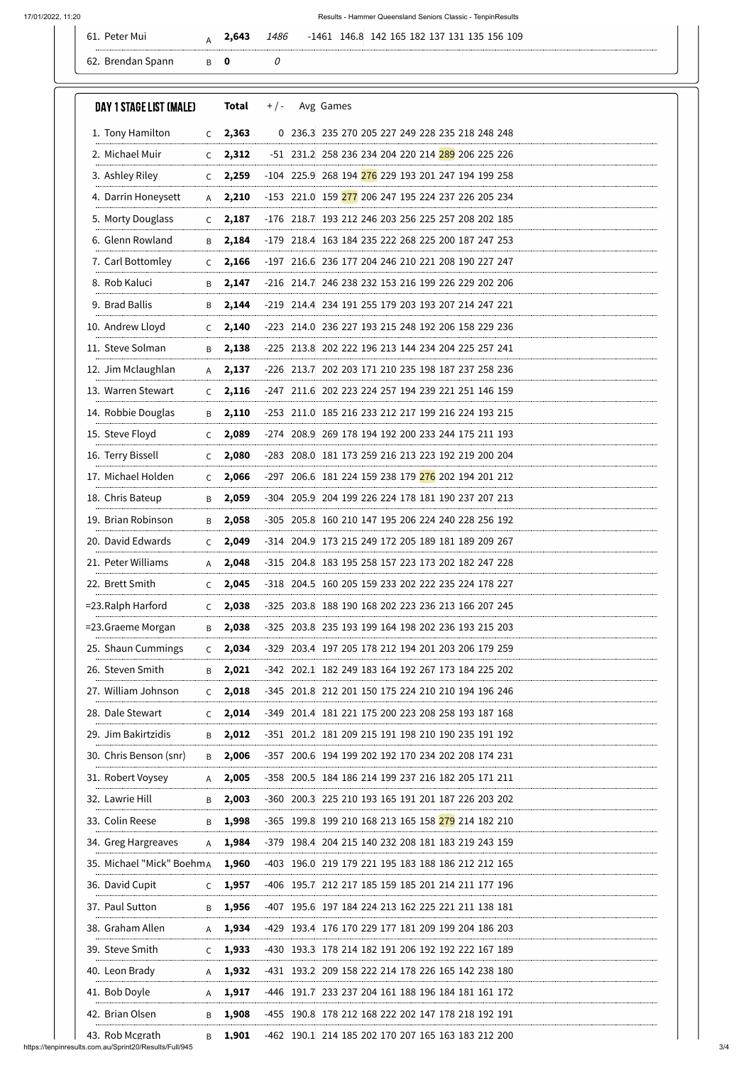## 17/01/2022, 11:20 Results - Hammer Queensland Seniors Classic - TenpinResults

| $\overline{\phantom{a}}$<br>Mu | CA <sub>3</sub> | 1486 | 146.8<br><b>109</b><br>$-1461$<br>$\sim$<br>.4.<br>h<br>1 X J |
|--------------------------------|-----------------|------|---------------------------------------------------------------|
|                                |                 |      |                                                               |

| $C = 2,363$<br>2,312<br>$\mathsf{C}$ |                                                                                                                       |                                                                                                                                                                                                                                      | 0 236.3 235 270 205 227 249 228 235 218 248 248    |
|--------------------------------------|-----------------------------------------------------------------------------------------------------------------------|--------------------------------------------------------------------------------------------------------------------------------------------------------------------------------------------------------------------------------------|----------------------------------------------------|
|                                      |                                                                                                                       |                                                                                                                                                                                                                                      | -51 231.2 258 236 234 204 220 214 289 206 225 226  |
|                                      |                                                                                                                       |                                                                                                                                                                                                                                      |                                                    |
| 2,259<br>$\mathsf{C}$                |                                                                                                                       |                                                                                                                                                                                                                                      | -104 225.9 268 194 276 229 193 201 247 194 199 258 |
|                                      |                                                                                                                       |                                                                                                                                                                                                                                      | -153 221.0 159 277 206 247 195 224 237 226 205 234 |
|                                      |                                                                                                                       |                                                                                                                                                                                                                                      | -176 218.7 193 212 246 203 256 225 257 208 202 185 |
|                                      |                                                                                                                       |                                                                                                                                                                                                                                      | -179 218.4 163 184 235 222 268 225 200 187 247 253 |
|                                      |                                                                                                                       |                                                                                                                                                                                                                                      | -197 216.6 236 177 204 246 210 221 208 190 227 247 |
|                                      |                                                                                                                       |                                                                                                                                                                                                                                      | -216 214.7 246 238 232 153 216 199 226 229 202 206 |
|                                      |                                                                                                                       |                                                                                                                                                                                                                                      | -219 214.4 234 191 255 179 203 193 207 214 247 221 |
| $\mathsf{C}$                         |                                                                                                                       |                                                                                                                                                                                                                                      | -223 214.0 236 227 193 215 248 192 206 158 229 236 |
| B                                    |                                                                                                                       |                                                                                                                                                                                                                                      | -225 213.8 202 222 196 213 144 234 204 225 257 241 |
| $A$ 2,137                            |                                                                                                                       |                                                                                                                                                                                                                                      | -226 213.7 202 203 171 210 235 198 187 237 258 236 |
| $C = 2,116$                          |                                                                                                                       |                                                                                                                                                                                                                                      | -247 211.6 202 223 224 257 194 239 221 251 146 159 |
| 2,110<br>B                           |                                                                                                                       |                                                                                                                                                                                                                                      | -253 211.0 185 216 233 212 217 199 216 224 193 215 |
| 2,089<br>$\mathsf{C}$                |                                                                                                                       |                                                                                                                                                                                                                                      | -274 208.9 269 178 194 192 200 233 244 175 211 193 |
| 2,080<br>$\mathsf{C}$                |                                                                                                                       |                                                                                                                                                                                                                                      | -283 208.0 181 173 259 216 213 223 192 219 200 204 |
| $C = 2,066$                          |                                                                                                                       |                                                                                                                                                                                                                                      | -297 206.6 181 224 159 238 179 276 202 194 201 212 |
| B 2,059                              |                                                                                                                       |                                                                                                                                                                                                                                      | -304 205.9 204 199 226 224 178 181 190 237 207 213 |
|                                      |                                                                                                                       |                                                                                                                                                                                                                                      | -305 205.8 160 210 147 195 206 224 240 228 256 192 |
|                                      |                                                                                                                       |                                                                                                                                                                                                                                      | -314 204.9 173 215 249 172 205 189 181 189 209 267 |
| A 2,048                              |                                                                                                                       |                                                                                                                                                                                                                                      | -315 204.8 183 195 258 157 223 173 202 182 247 228 |
|                                      |                                                                                                                       |                                                                                                                                                                                                                                      | -318 204.5 160 205 159 233 202 222 235 224 178 227 |
|                                      |                                                                                                                       |                                                                                                                                                                                                                                      | -325 203.8 188 190 168 202 223 236 213 166 207 245 |
|                                      |                                                                                                                       |                                                                                                                                                                                                                                      | -325 203.8 235 193 199 164 198 202 236 193 215 203 |
|                                      |                                                                                                                       |                                                                                                                                                                                                                                      | -329 203.4 197 205 178 212 194 201 203 206 179 259 |
|                                      |                                                                                                                       |                                                                                                                                                                                                                                      | -342 202.1 182 249 183 164 192 267 173 184 225 202 |
|                                      |                                                                                                                       |                                                                                                                                                                                                                                      | -345 201.8 212 201 150 175 224 210 210 194 196 246 |
|                                      |                                                                                                                       |                                                                                                                                                                                                                                      | -349 201.4 181 221 175 200 223 208 258 193 187 168 |
|                                      |                                                                                                                       |                                                                                                                                                                                                                                      | -351 201.2 181 209 215 191 198 210 190 235 191 192 |
|                                      |                                                                                                                       |                                                                                                                                                                                                                                      | -357 200.6 194 199 202 192 170 234 202 208 174 231 |
| A 2,005                              |                                                                                                                       |                                                                                                                                                                                                                                      | -358 200.5 184 186 214 199 237 216 182 205 171 211 |
| $\overline{B}$ 2,003                 |                                                                                                                       |                                                                                                                                                                                                                                      | -360 200.3 225 210 193 165 191 201 187 226 203 202 |
| B 1,998                              |                                                                                                                       |                                                                                                                                                                                                                                      | -365 199.8 199 210 168 213 165 158 279 214 182 210 |
|                                      |                                                                                                                       |                                                                                                                                                                                                                                      | -379 198.4 204 215 140 232 208 181 183 219 243 159 |
|                                      |                                                                                                                       |                                                                                                                                                                                                                                      | -403 196.0 219 179 221 195 183 188 186 212 212 165 |
|                                      |                                                                                                                       |                                                                                                                                                                                                                                      | -406 195.7 212 217 185 159 185 201 214 211 177 196 |
| 1,956<br>B                           | -407                                                                                                                  |                                                                                                                                                                                                                                      | 195.6 197 184 224 213 162 225 221 211 138 181      |
| 1,934<br>A                           |                                                                                                                       |                                                                                                                                                                                                                                      | -429 193.4 176 170 229 177 181 209 199 204 186 203 |
| 1,933<br>C                           |                                                                                                                       |                                                                                                                                                                                                                                      | -430 193.3 178 214 182 191 206 192 192 222 167 189 |
| 1,932<br>A                           |                                                                                                                       |                                                                                                                                                                                                                                      | -431 193.2 209 158 222 214 178 226 165 142 238 180 |
| 1,917<br>A                           |                                                                                                                       |                                                                                                                                                                                                                                      | -446 191.7 233 237 204 161 188 196 184 181 161 172 |
| 1,908<br>B                           |                                                                                                                       |                                                                                                                                                                                                                                      | -455 190.8 178 212 168 222 202 147 178 218 192 191 |
|                                      | 2,210<br>$\mathsf{A}$<br>$C = 2,187$<br>2,184<br>B<br>2,166<br>$\mathsf{C}$<br>2,147<br>B<br>B<br>2,138<br>1,901<br>B | 2,144<br>2,140<br>B 2,058<br>$C = 2,049$<br>$C = 2,045$<br>$C = 2,038$<br>B 2,038<br>$C = 2,034$<br>$B = 2,021$<br>$C = 2,018$<br>$C = 2,014$<br>$B = 2,012$<br>B 2,006<br>A 1,984<br>35. Michael "Mick" BoehmA 1,960<br>$C = 1,957$ | -462 190.1 214 185 202 170 207 165 163 183 212 200 |